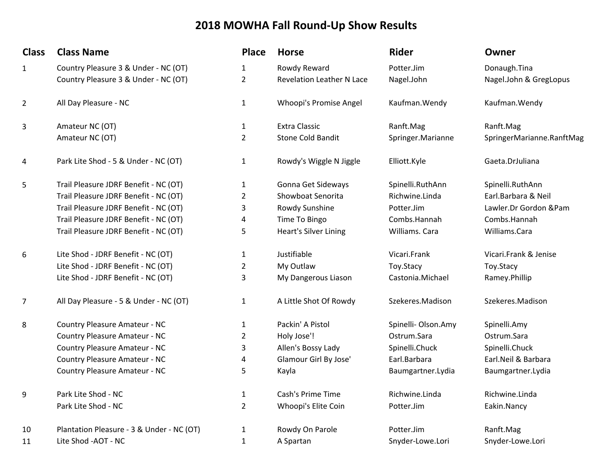## 2018 MOWHA Fall Round-Up Show Results

| <b>Class</b> | <b>Class Name</b>                         | <b>Place</b>   | <b>Horse</b>                     | <b>Rider</b>        | Owner                     |
|--------------|-------------------------------------------|----------------|----------------------------------|---------------------|---------------------------|
| $\mathbf{1}$ | Country Pleasure 3 & Under - NC (OT)      | 1              | Rowdy Reward                     | Potter.Jim          | Donaugh.Tina              |
|              | Country Pleasure 3 & Under - NC (OT)      | 2              | <b>Revelation Leather N Lace</b> | Nagel.John          | Nagel.John & GregLopus    |
| 2            | All Day Pleasure - NC                     | 1              | Whoopi's Promise Angel           | Kaufman. Wendy      | Kaufman. Wendy            |
| 3            | Amateur NC (OT)                           | 1              | <b>Extra Classic</b>             | Ranft.Mag           | Ranft.Mag                 |
|              | Amateur NC (OT)                           | 2              | <b>Stone Cold Bandit</b>         | Springer.Marianne   | SpringerMarianne.RanftMag |
| 4            | Park Lite Shod - 5 & Under - NC (OT)      | 1              | Rowdy's Wiggle N Jiggle          | Elliott.Kyle        | Gaeta.DrJuliana           |
| 5            | Trail Pleasure JDRF Benefit - NC (OT)     | 1              | Gonna Get Sideways               | Spinelli.RuthAnn    | Spinelli.RuthAnn          |
|              | Trail Pleasure JDRF Benefit - NC (OT)     | 2              | Showboat Senorita                | Richwine.Linda      | Earl.Barbara & Neil       |
|              | Trail Pleasure JDRF Benefit - NC (OT)     | 3              | Rowdy Sunshine                   | Potter.Jim          | Lawler.Dr Gordon &Pam     |
|              | Trail Pleasure JDRF Benefit - NC (OT)     | 4              | Time To Bingo                    | Combs.Hannah        | Combs.Hannah              |
|              | Trail Pleasure JDRF Benefit - NC (OT)     | 5              | <b>Heart's Silver Lining</b>     | Williams. Cara      | Williams.Cara             |
| 6            | Lite Shod - JDRF Benefit - NC (OT)        | 1              | Justifiable                      | Vicari.Frank        | Vicari.Frank & Jenise     |
|              | Lite Shod - JDRF Benefit - NC (OT)        | 2              | My Outlaw                        | Toy.Stacy           | Toy.Stacy                 |
|              | Lite Shod - JDRF Benefit - NC (OT)        | 3              | My Dangerous Liason              | Castonia.Michael    | Ramey.Phillip             |
| 7            | All Day Pleasure - 5 & Under - NC (OT)    | 1              | A Little Shot Of Rowdy           | Szekeres.Madison    | Szekeres.Madison          |
| 8            | Country Pleasure Amateur - NC             | 1              | Packin' A Pistol                 | Spinelli- Olson.Amy | Spinelli.Amy              |
|              | Country Pleasure Amateur - NC             | 2              | Holy Jose'!                      | Ostrum.Sara         | Ostrum.Sara               |
|              | Country Pleasure Amateur - NC             | 3              | Allen's Bossy Lady               | Spinelli.Chuck      | Spinelli.Chuck            |
|              | Country Pleasure Amateur - NC             | 4              | Glamour Girl By Jose'            | Earl.Barbara        | Earl.Neil & Barbara       |
|              | Country Pleasure Amateur - NC             | 5              | Kayla                            | Baumgartner.Lydia   | Baumgartner.Lydia         |
| 9            | Park Lite Shod - NC                       | $\mathbf{1}$   | Cash's Prime Time                | Richwine.Linda      | Richwine.Linda            |
|              | Park Lite Shod - NC                       | $\overline{2}$ | Whoopi's Elite Coin              | Potter.Jim          | Eakin.Nancy               |
| 10           | Plantation Pleasure - 3 & Under - NC (OT) | $\mathbf{1}$   | Rowdy On Parole                  | Potter.Jim          | Ranft.Mag                 |
| 11           | Lite Shod - AOT - NC                      | 1              | A Spartan                        | Snyder-Lowe.Lori    | Snyder-Lowe.Lori          |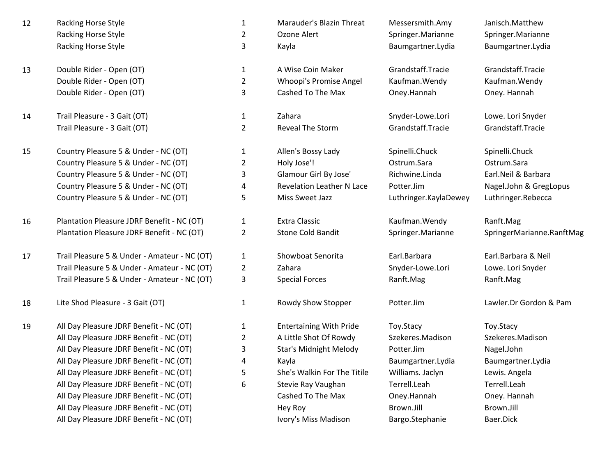- 122 Racking Horse Style 1 Marauder's Blazin Threat Messersmith.Amy Janisch.Matthew Racking Horse Stylee 2 Racking Horse Stylee  $\overline{3}$
- 13Double Rider - Open (OT) $)$  2 Double Rider - Open (OT)) and  $\overline{3}$
- 14Trail Pleasure - 3 Gait (OT)  $\begin{array}{ccc}\n 1 & 2 \end{array}$  Zahara  $\begin{array}{ccc}\n 1 & 2 \end{array}$  Snyder-Lowe.Lori Lowe. Lori Snyder<br>
Trail Pleasure - 3 Gait (OT)  $\begin{array}{ccc}\n 2 & 2 \end{array}$  Reveal The Storm Grandstaff.Tracie Grandstaff.Tracie Trail Pleasure - 3 Gait (OT) $)$  2
- 15Country Pleasure 5 & Under - NC (OT)  $\begin{array}{ccc}\n 1 & 1 \\
 2 & 1\n \end{array}$  Allen's Bossy Lady  $\begin{array}{ccc}\n 5 & 5 & 5 \\
 2 & 1 & 2\n \end{array}$  Country Pleasure 5 & Under - NC (OT)  $\begin{array}{ccc}\n 2 & 1\n \end{array}$  Holv Jose'!  $\begin{array}{ccc}\n 3 & 0 & 0 \\
 0 & 0 & 0\n \end{array}$ Country Pleasure 5 & Under - NC (OT) $)$  2 Country Pleasure 5 & Under - NC (OT) <sup>3</sup>Country Pleasure 5 & Under - NC (OT) <sup>4</sup>Country Pleasure 5 & Under - NC (OT)<sup>5</sup>
- 16Plantation Pleasure JDRF Benefit - NC (OT)  $\begin{array}{ccc} 1 & \text{Extra Classic} & \text{Kaufman.Wendy} & \text{Ranft.Mag} \\ \text{Plantation Pleasure JDBC Ber Berefit - NC (OT)} & 2 & \text{Stone Cold Bandit} & \text{Springer.Marianne} & \text{SpringerM} \end{array}$ Plantation Pleasure JDRF Benefit - NC (OT)<sup>2</sup>
- 17Trail Pleasure 5 & Under - Amateur - NC (OT)  $\qquad \qquad 1$  Showboat Senorita Earl.Barbara Earl.Barbara & Neil<br>1 Showboat Senorita Earl.Barbara Lori Earl.Barbara Lowe. Lori Showe. Lori Shower Lowe. Lori Shower Trail Pleasure 5 & Under - Amateur - NC (OT)Trail Pleasure 5 & Under - Amateur - NC (OT)
- 18Lite Shod Pleasure - 3 Gait (OT)  $1$  Rowdy Show Stopper Potter.Jim

19

All Day Pleasure JDRF Benefit - NC (OT)  $\begin{array}{ccc} 1 & \text{Entertaining With Pride} & \text{Toy.Stacy} \end{array}$  Toy.Stacy Creasure JDRF Benefit - NC (OT)  $\begin{array}{ccc} 2 & \text{A Little Shot Of Rowdv} & \text{Szekeres.Madison} & \text{Szekeres.I} \end{array}$ All Day Pleasure JDRF Benefit - NC (OT) <sup>2</sup>All Day Pleasure JDRF Benefit - NC (OT) <sup>3</sup>All Day Pleasure JDRF Benefit - NC (OT) <sup>4</sup>All Day Pleasure JDRF Benefit - NC (OT) <sup>5</sup>All Day Pleasure JDRF Benefit - NC (OT) <sup>6</sup>All Day Pleasure JDRF Benefit - NC (OT)All Day Pleasure JDRF Benefit - NC (OT)All Day Pleasure JDRF Benefit - NC (OT)

|   | Marauder's Blazin Threat | Messersmith.Amy   |
|---|--------------------------|-------------------|
| 2 | Ozone Alert              | Springer.Marianne |
|   |                          |                   |

Double Rider - Open (OT) 1 A Wise Coin Maker Grandstaff.Tracie Grandstaff.Tracie Grandstaff.Tracie Coin Maker<br>1 A Whoopi's Promise Angel Kaufman.Wendy Kaufman.Wendy Kaufman.Wendy Whoopi's Promise Angel Cashed To The Max Oney.Hannah

- Reveal The Storm
- Holy Jose'! Ostrum.Sara Ostrum.Sara Glamour Girl By Jose' Richwine.Linda Earl.Neil & Barbara Revelation Leather N Lace Potter.Jim
	-

<sup>2</sup>

<sup>3</sup>

- 
- 
- 2 A Little Shot Of Rowdy<br>3 Star's Midnight Melody Star's Midnight Melody Potter.Jim Kayla Baumgartner.Lydia Baumgartner.Lydia She's Walkin For The Titile Milliams. Jaclyn<br>6 Stevie Rav Vaughan Marticleah Stevie Ray Vaughan Cashed To The Max Hey Roy
	- Ivory's Miss Madison

Kayla Baumgartner.Lydia Baumgartner.Lydia

Grandstaff.Tracie Grandstaff.Tracie

5 Miss Sweet Jazz Luthringer.KaylaDewey

Snyder-Lowe.Lori Lowe.Lori Snyder Special Forces **Ranft.Mag** Ranft.Mag Ranft.Mag

 Terrell.Leah Terrell.Leah Oney.Hannah Brown.Jill Brown.Jill Bargo.Stephanie Baer.Dick

Springer.Marianne

Oney. Hannah

Nagel.John & GregLopus<br>Luthringer.Rebecca

Springer.Marianne SpringerMarianne.RanftMag

Lawler.Dr Gordon & Pam

 Szekeres.Madison Nagel.John<br>Baumgartner.Lydia Lewis. Angela Oney. Hannah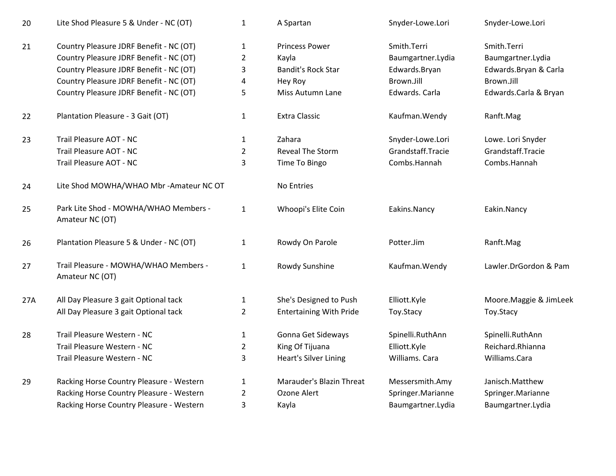| 20  | Lite Shod Pleasure 5 & Under - NC (OT)                   | $\mathbf{1}$   | A Spartan                      | Snyder-Lowe.Lori  | Snyder-Lowe.Lori       |
|-----|----------------------------------------------------------|----------------|--------------------------------|-------------------|------------------------|
| 21  | Country Pleasure JDRF Benefit - NC (OT)                  | $\mathbf{1}$   | <b>Princess Power</b>          | Smith.Terri       | Smith.Terri            |
|     | Country Pleasure JDRF Benefit - NC (OT)                  | $\overline{2}$ | Kayla                          | Baumgartner.Lydia | Baumgartner.Lydia      |
|     | Country Pleasure JDRF Benefit - NC (OT)                  | 3              | <b>Bandit's Rock Star</b>      | Edwards.Bryan     | Edwards.Bryan & Carla  |
|     | Country Pleasure JDRF Benefit - NC (OT)                  | 4              | Hey Roy                        | Brown.Jill        | Brown.Jill             |
|     | Country Pleasure JDRF Benefit - NC (OT)                  | 5              | Miss Autumn Lane               | Edwards. Carla    | Edwards.Carla & Bryan  |
| 22  | Plantation Pleasure - 3 Gait (OT)                        | $\mathbf{1}$   | <b>Extra Classic</b>           | Kaufman. Wendy    | Ranft.Mag              |
| 23  | Trail Pleasure AOT - NC                                  | $\mathbf{1}$   | Zahara                         | Snyder-Lowe.Lori  | Lowe. Lori Snyder      |
|     | Trail Pleasure AOT - NC                                  | $\overline{2}$ | Reveal The Storm               | Grandstaff.Tracie | Grandstaff.Tracie      |
|     | Trail Pleasure AOT - NC                                  | 3              | Time To Bingo                  | Combs.Hannah      | Combs.Hannah           |
| 24  | Lite Shod MOWHA/WHAO Mbr - Amateur NC OT                 |                | No Entries                     |                   |                        |
| 25  | Park Lite Shod - MOWHA/WHAO Members -<br>Amateur NC (OT) | $\mathbf 1$    | Whoopi's Elite Coin            | Eakins.Nancy      | Eakin.Nancy            |
| 26  | Plantation Pleasure 5 & Under - NC (OT)                  | $\mathbf{1}$   | Rowdy On Parole                | Potter.Jim        | Ranft.Mag              |
| 27  | Trail Pleasure - MOWHA/WHAO Members -<br>Amateur NC (OT) | $\mathbf{1}$   | Rowdy Sunshine                 | Kaufman. Wendy    | Lawler.DrGordon & Pam  |
| 27A | All Day Pleasure 3 gait Optional tack                    | $\mathbf{1}$   | She's Designed to Push         | Elliott.Kyle      | Moore.Maggie & JimLeek |
|     | All Day Pleasure 3 gait Optional tack                    | $\overline{2}$ | <b>Entertaining With Pride</b> | Toy.Stacy         | Toy.Stacy              |
| 28  | Trail Pleasure Western - NC                              | $\mathbf{1}$   | Gonna Get Sideways             | Spinelli.RuthAnn  | Spinelli.RuthAnn       |
|     | Trail Pleasure Western - NC                              | $\overline{2}$ | King Of Tijuana                | Elliott.Kyle      | Reichard.Rhianna       |
|     | Trail Pleasure Western - NC                              | 3              | <b>Heart's Silver Lining</b>   | Williams. Cara    | Williams.Cara          |
| 29  | Racking Horse Country Pleasure - Western                 | $\mathbf{1}$   | Marauder's Blazin Threat       | Messersmith.Amy   | Janisch.Matthew        |
|     | Racking Horse Country Pleasure - Western                 | $\overline{2}$ | Ozone Alert                    | Springer.Marianne | Springer.Marianne      |
|     | Racking Horse Country Pleasure - Western                 | $\mathsf 3$    | Kayla                          | Baumgartner.Lydia | Baumgartner.Lydia      |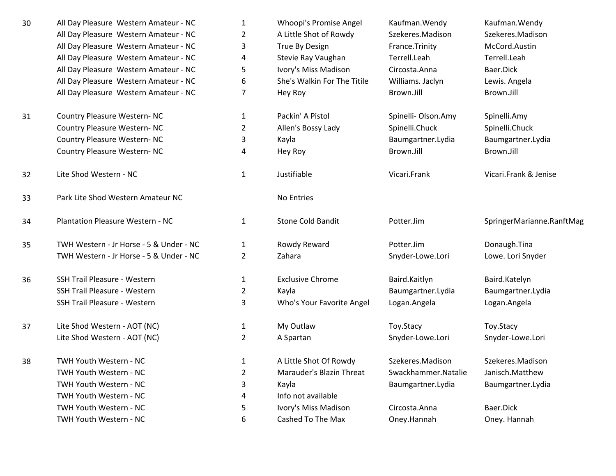| 30 | All Day Pleasure Western Amateur - NC   | 1              | Whoopi's Promise Angel      | Kaufman. Wendy      | Kaufman. Wendy            |
|----|-----------------------------------------|----------------|-----------------------------|---------------------|---------------------------|
|    | All Day Pleasure Western Amateur - NC   | $\overline{2}$ | A Little Shot of Rowdy      | Szekeres.Madison    | Szekeres.Madison          |
|    | All Day Pleasure Western Amateur - NC   | 3              | True By Design              | France.Trinity      | McCord.Austin             |
|    | All Day Pleasure Western Amateur - NC   | 4              | Stevie Ray Vaughan          | Terrell.Leah        | Terrell.Leah              |
|    | All Day Pleasure Western Amateur - NC   | 5              | Ivory's Miss Madison        | Circosta.Anna       | Baer.Dick                 |
|    | All Day Pleasure Western Amateur - NC   | 6              | She's Walkin For The Titile | Williams. Jaclyn    | Lewis. Angela             |
|    | All Day Pleasure Western Amateur - NC   | 7              | Hey Roy                     | Brown.Jill          | Brown.Jill                |
| 31 | Country Pleasure Western- NC            | $\mathbf{1}$   | Packin' A Pistol            | Spinelli- Olson.Amy | Spinelli.Amy              |
|    | Country Pleasure Western- NC            | 2              | Allen's Bossy Lady          | Spinelli.Chuck      | Spinelli.Chuck            |
|    | Country Pleasure Western- NC            | 3              | Kayla                       | Baumgartner.Lydia   | Baumgartner.Lydia         |
|    | Country Pleasure Western- NC            | 4              | Hey Roy                     | Brown.Jill          | Brown.Jill                |
| 32 | Lite Shod Western - NC                  | $\mathbf{1}$   | Justifiable                 | Vicari.Frank        | Vicari.Frank & Jenise     |
| 33 | Park Lite Shod Western Amateur NC       |                | No Entries                  |                     |                           |
| 34 | <b>Plantation Pleasure Western - NC</b> | $\mathbf{1}$   | <b>Stone Cold Bandit</b>    | Potter.Jim          | SpringerMarianne.RanftMag |
| 35 | TWH Western - Jr Horse - 5 & Under - NC | $\mathbf{1}$   | Rowdy Reward                | Potter.Jim          | Donaugh.Tina              |
|    | TWH Western - Jr Horse - 5 & Under - NC | $\overline{2}$ | Zahara                      | Snyder-Lowe.Lori    | Lowe. Lori Snyder         |
| 36 | SSH Trail Pleasure - Western            | $\mathbf{1}$   | <b>Exclusive Chrome</b>     | Baird.Kaitlyn       | Baird.Katelyn             |
|    | SSH Trail Pleasure - Western            | 2              | Kayla                       | Baumgartner.Lydia   | Baumgartner.Lydia         |
|    | SSH Trail Pleasure - Western            | 3              | Who's Your Favorite Angel   | Logan.Angela        | Logan.Angela              |
| 37 | Lite Shod Western - AOT (NC)            | $\mathbf{1}$   | My Outlaw                   | Toy.Stacy           | Toy.Stacy                 |
|    | Lite Shod Western - AOT (NC)            | 2              | A Spartan                   | Snyder-Lowe.Lori    | Snyder-Lowe.Lori          |
| 38 | TWH Youth Western - NC                  | $\mathbf{1}$   | A Little Shot Of Rowdy      | Szekeres.Madison    | Szekeres.Madison          |
|    | TWH Youth Western - NC                  | $\overline{2}$ | Marauder's Blazin Threat    | Swackhammer.Natalie | Janisch.Matthew           |
|    | TWH Youth Western - NC                  | 3              | Kayla                       | Baumgartner.Lydia   | Baumgartner.Lydia         |
|    | TWH Youth Western - NC                  | 4              | Info not available          |                     |                           |
|    | TWH Youth Western - NC                  | 5              | Ivory's Miss Madison        | Circosta.Anna       | Baer.Dick                 |
|    | TWH Youth Western - NC                  | 6              | Cashed To The Max           | Oney.Hannah         | Oney. Hannah              |
|    |                                         |                |                             |                     |                           |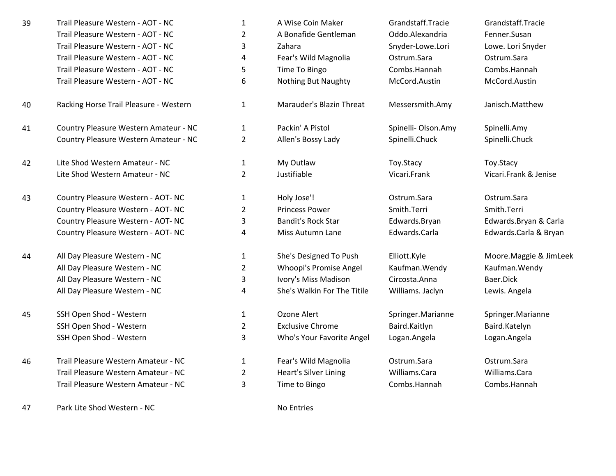- 39Trail Pleasure Western - AOT - NC 1 A Wise Coin Maker Grandstaff.Tracie Grandstaff.Tracie Grandstaff.Tracie Coin Maker Grandstaff.Tracie Grandstaff.Tracie Grandstaff.Tracie Grandstaff.Tracie Grandstaff.Tracie Eenner.Susan Trail Pleasure Western - AOT - NCTrail Pleasure Western - AOT - NCTrail Pleasure Western - AOT - NCTrail Pleasure Western - AOT - NCTrail Pleasure Western - AOT - NC
- 40
- 41Country Pleasure Western Amateur - NC 1 1 Packin' A Pistol 5 and Spinelli- Olson.Amy 5 and Spinelli.Amy Spinelli<br>Country Pleasure Western Amateur - NC 2 2 2 Allen's Bossy Lady 5 and Spinelli.Chuck 5 and Spinelli.Chuck Country Pleasure Western Amateur - NC
- 42Lite Shod Western Amateur - NC<br>
Lite Shod Western Amateur - NC 1 2 1 My Outlaw Lite Shod Western Amateur - NC
- 43 Country Pleasure Western - AOT- NC <sup>1</sup> Holy Jose'! Ostrum.Sara Ostrum.Sara Country Pleasure Western - AOT- NCCountry Pleasure Western - AOT- NCCountry Pleasure Western - AOT- NC
- 44All Day Pleasure Western - NC **1** 1 She's Designed To Push Elliott.Kyle Moore.Maggie & JimLeek<br>All Day Pleasure Western - NC 2 Whoopi's Promise Angel Kaufman.Wendy Kaufman.Wendy All Day Pleasure Western - NCAll Day Pleasure Western - NCAll Day Pleasure Western - NC
- 45SSH Open Shod - WesternSSH Open Shod - Western
- 46Trail Pleasure Western Amateur - NC 1 Fear's Wild Magnolia Costrum.Sara Costrum.Sara Costrum.Sara Costrum.Sara<br>1 Feart's Silver Lining Milliams.Cara Milliams.Cara Williams.Cara Williams.Cara Williams.Cara Trail Pleasure Western Amateur - NCTrail Pleasure Western Amateur - NC

47Park Lite Shod Western - NC No Entries

| Trail Pleasure Western - AOT - NC      |   | A Wise Coin Maker          | Grandstaff.Tracie  | Grandstaff.Tracie |
|----------------------------------------|---|----------------------------|--------------------|-------------------|
| Trail Pleasure Western - AOT - NC      | 2 | A Bonafide Gentleman       | Oddo.Alexandria    | Fenner.Susan      |
| Trail Pleasure Western - AOT - NC      | 3 | Zahara                     | Snyder-Lowe.Lori   | Lowe. Lori Snyder |
| Trail Pleasure Western - AOT - NC      | 4 | Fear's Wild Magnolia       | Ostrum.Sara        | Ostrum.Sara       |
| Trail Pleasure Western - AOT - NC      | 5 | Time To Bingo              | Combs.Hannah       | Combs.Hannah      |
| Trail Pleasure Western - AOT - NC      | 6 | <b>Nothing But Naughty</b> | McCord.Austin      | McCord.Austin     |
| Racking Horse Trail Pleasure - Western | 1 | Marauder's Blazin Threat   | Messersmith.Amy    | Janisch.Matthew   |
| Country Pleasure Western Amateur - NC  |   | Packin' A Pistol           | Spinelli-Olson.Amy | Spinelli.Amy      |

Allen's Bossy Lady

C 2 Princess Power Smith.Terri Smith.Terri Smith.Terri <sup>3</sup> Bandit's Rock Star Edwards.Bryan Edwards.Bryan & Carla <sup>4</sup> Miss Autumn Lane Edwards.Carla Edwards.Carla & Bryan

> Whoopi's Promise Angel Kaufman.Wendy Kaufman.Wendy <sup>3</sup> Ivory's Miss Madison Circosta.Anna Baer.Dick <sup>4</sup> She's Walkin For The Titile Williams. Jaclyn Lewis. Angela

SSH Open Shod - Western The Springer Marianne SSH Open Shod - Western 1 Arianne 1 Ozone Alert Springer.Marianne<br>SSH Open Shod - Western 1 2 Exclusive Chrome Baird.Kaitlyn Baird.Kaitlyn Baird.Katelyn <sup>2</sup> Exclusive Chrome Baird.Kaitlyn Baird.Katelyn <sup>3</sup> Who's Your Favorite Angel Logan.Angela Logan.Angela

> Heart's Silver Lining <sup>3</sup> Time to Bingo Combs.Hannah Combs.Hannah

w Toy.Stacy Toy.Stacy

<sup>2</sup> Justifiable Vicari.Frank Vicari.Frank & Jenise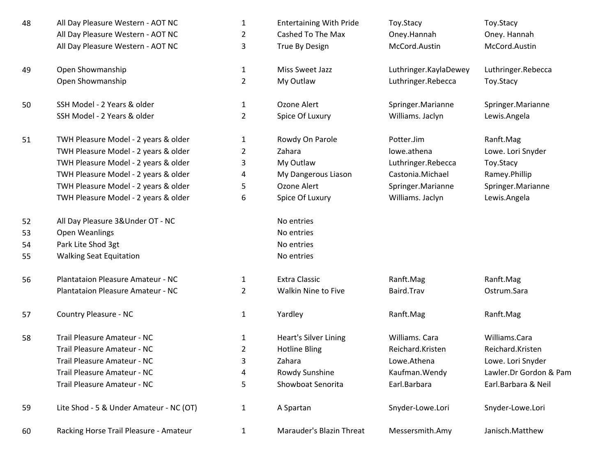| 48 | All Day Pleasure Western - AOT NC       | $\mathbf{1}$   | <b>Entertaining With Pride</b> | Toy.Stacy             | Toy.Stacy              |
|----|-----------------------------------------|----------------|--------------------------------|-----------------------|------------------------|
|    | All Day Pleasure Western - AOT NC       | $\overline{2}$ | Cashed To The Max              | Oney.Hannah           | Oney. Hannah           |
|    | All Day Pleasure Western - AOT NC       | 3              | True By Design                 | McCord.Austin         | McCord.Austin          |
| 49 | Open Showmanship                        | $\mathbf{1}$   | Miss Sweet Jazz                | Luthringer.KaylaDewey | Luthringer.Rebecca     |
|    | Open Showmanship                        | $\overline{2}$ | My Outlaw                      | Luthringer.Rebecca    | Toy.Stacy              |
| 50 | SSH Model - 2 Years & older             | $\mathbf{1}$   | Ozone Alert                    | Springer.Marianne     | Springer.Marianne      |
|    | SSH Model - 2 Years & older             | $\overline{2}$ | Spice Of Luxury                | Williams. Jaclyn      | Lewis.Angela           |
| 51 | TWH Pleasure Model - 2 years & older    | 1              | Rowdy On Parole                | Potter.Jim            | Ranft.Mag              |
|    | TWH Pleasure Model - 2 years & older    | 2              | Zahara                         | lowe.athena           | Lowe. Lori Snyder      |
|    | TWH Pleasure Model - 2 years & older    | 3              | My Outlaw                      | Luthringer.Rebecca    | Toy.Stacy              |
|    | TWH Pleasure Model - 2 years & older    | 4              | My Dangerous Liason            | Castonia.Michael      | Ramey.Phillip          |
|    | TWH Pleasure Model - 2 years & older    | 5              | Ozone Alert                    | Springer.Marianne     | Springer.Marianne      |
|    | TWH Pleasure Model - 2 years & older    | 6              | Spice Of Luxury                | Williams. Jaclyn      | Lewis.Angela           |
| 52 | All Day Pleasure 3& Under OT - NC       |                | No entries                     |                       |                        |
| 53 | <b>Open Weanlings</b>                   |                | No entries                     |                       |                        |
| 54 | Park Lite Shod 3gt                      |                | No entries                     |                       |                        |
| 55 | <b>Walking Seat Equitation</b>          |                | No entries                     |                       |                        |
| 56 | Plantataion Pleasure Amateur - NC       | $\mathbf{1}$   | <b>Extra Classic</b>           | Ranft.Mag             | Ranft.Mag              |
|    | Plantataion Pleasure Amateur - NC       | $\overline{2}$ | Walkin Nine to Five            | Baird.Trav            | Ostrum.Sara            |
| 57 | Country Pleasure - NC                   | $\mathbf{1}$   | Yardley                        | Ranft.Mag             | Ranft.Mag              |
| 58 | Trail Pleasure Amateur - NC             | 1              | Heart's Silver Lining          | Williams. Cara        | Williams.Cara          |
|    | Trail Pleasure Amateur - NC             | 2              | <b>Hotline Bling</b>           | Reichard.Kristen      | Reichard.Kristen       |
|    | Trail Pleasure Amateur - NC             | 3              | Zahara                         | Lowe.Athena           | Lowe. Lori Snyder      |
|    | Trail Pleasure Amateur - NC             | 4              | Rowdy Sunshine                 | Kaufman. Wendy        | Lawler.Dr Gordon & Pam |
|    | Trail Pleasure Amateur - NC             | 5              | Showboat Senorita              | Earl.Barbara          | Earl.Barbara & Neil    |
| 59 | Lite Shod - 5 & Under Amateur - NC (OT) | $\mathbf{1}$   | A Spartan                      | Snyder-Lowe.Lori      | Snyder-Lowe.Lori       |
| 60 | Racking Horse Trail Pleasure - Amateur  | $\mathbf{1}$   | Marauder's Blazin Threat       | Messersmith.Amy       | Janisch.Matthew        |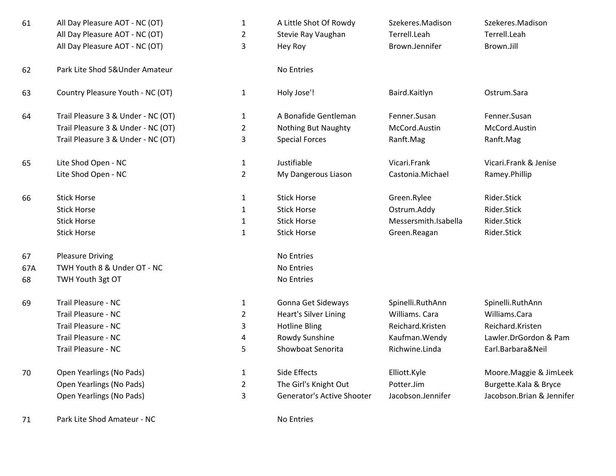| 61  | All Day Pleasure AOT - NC (OT)<br>All Day Pleasure AOT - NC (OT)<br>All Day Pleasure AOT - NC (OT) | $\mathbf{1}$<br>$\overline{2}$<br>3 | A Little Shot Of Rowdy<br>Stevie Ray Vaughan<br>Hey Roy | Szekeres.Madison<br>Terrell.Leah<br>Brown.Jennifer | Szekeres.Madison<br>Terrell.Leah<br>Brown.Jill |
|-----|----------------------------------------------------------------------------------------------------|-------------------------------------|---------------------------------------------------------|----------------------------------------------------|------------------------------------------------|
| 62  | Park Lite Shod 5&Under Amateur                                                                     |                                     | No Entries                                              |                                                    |                                                |
| 63  | Country Pleasure Youth - NC (OT)                                                                   | $\mathbf{1}$                        | Holy Jose'!                                             | Baird.Kaitlyn                                      | Ostrum.Sara                                    |
| 64  | Trail Pleasure 3 & Under - NC (OT)                                                                 | $\mathbf{1}$                        | A Bonafide Gentleman                                    | Fenner.Susan                                       | Fenner.Susan                                   |
|     | Trail Pleasure 3 & Under - NC (OT)                                                                 | $\overline{2}$                      | <b>Nothing But Naughty</b>                              | McCord.Austin                                      | McCord.Austin                                  |
|     | Trail Pleasure 3 & Under - NC (OT)                                                                 | 3                                   | <b>Special Forces</b>                                   | Ranft.Mag                                          | Ranft.Mag                                      |
| 65  | Lite Shod Open - NC                                                                                | $\mathbf{1}$                        | Justifiable                                             | Vicari.Frank                                       | Vicari.Frank & Jenise                          |
|     | Lite Shod Open - NC                                                                                | $\overline{2}$                      | My Dangerous Liason                                     | Castonia.Michael                                   | Ramey.Phillip                                  |
| 66  | <b>Stick Horse</b>                                                                                 | $\mathbf{1}$                        | <b>Stick Horse</b>                                      | Green.Rylee                                        | Rider.Stick                                    |
|     | <b>Stick Horse</b>                                                                                 | $\mathbf{1}$                        | <b>Stick Horse</b>                                      | Ostrum.Addy                                        | Rider.Stick                                    |
|     | <b>Stick Horse</b>                                                                                 | $\mathbf{1}$                        | <b>Stick Horse</b>                                      | Messersmith.Isabella                               | Rider.Stick                                    |
|     | <b>Stick Horse</b>                                                                                 | $\mathbf{1}$                        | <b>Stick Horse</b>                                      | Green.Reagan                                       | Rider.Stick                                    |
| 67  | <b>Pleasure Driving</b>                                                                            |                                     | No Entries                                              |                                                    |                                                |
| 67A | TWH Youth 8 & Under OT - NC                                                                        |                                     | No Entries                                              |                                                    |                                                |
| 68  | TWH Youth 3gt OT                                                                                   |                                     | No Entries                                              |                                                    |                                                |
| 69  | Trail Pleasure - NC                                                                                | $\mathbf{1}$                        | Gonna Get Sideways                                      | Spinelli.RuthAnn                                   | Spinelli.RuthAnn                               |
|     | Trail Pleasure - NC                                                                                | $\overline{2}$                      | <b>Heart's Silver Lining</b>                            | Williams. Cara                                     | Williams.Cara                                  |
|     | Trail Pleasure - NC                                                                                | 3                                   | <b>Hotline Bling</b>                                    | Reichard.Kristen                                   | Reichard.Kristen                               |
|     | Trail Pleasure - NC                                                                                | 4                                   | Rowdy Sunshine                                          | Kaufman. Wendy                                     | Lawler.DrGordon & I                            |
|     | Trail Pleasure - NC                                                                                | 5                                   | Showboat Senorita                                       | Richwine.Linda                                     | Earl.Barbara&Neil                              |
| 70  | Open Yearlings (No Pads)                                                                           | $\mathbf{1}$                        | Side Effects                                            | Elliott.Kyle                                       | Moore.Maggie & Jim                             |
|     | Open Yearlings (No Pads)                                                                           | $\overline{2}$                      | The Girl's Knight Out                                   | Potter.Jim                                         | Burgette.Kala & Bryd                           |
|     | Open Yearlings (No Pads)                                                                           | 3                                   | <b>Generator's Active Shooter</b>                       | Jacobson.Jennifer                                  | Jacobson.Brian & Jer                           |

71Park Lite Shod Amateur - NC No Entries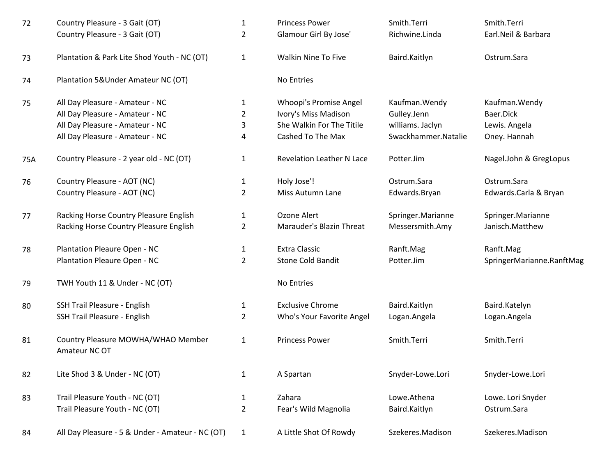| 72  | Country Pleasure - 3 Gait (OT)                      | $\mathbf{1}$   | <b>Princess Power</b>            | Smith.Terri         | Smith.Terri               |
|-----|-----------------------------------------------------|----------------|----------------------------------|---------------------|---------------------------|
|     | Country Pleasure - 3 Gait (OT)                      | $\overline{2}$ | Glamour Girl By Jose'            | Richwine.Linda      | Earl.Neil & Barbara       |
| 73  | Plantation & Park Lite Shod Youth - NC (OT)         | $\mathbf{1}$   | <b>Walkin Nine To Five</b>       | Baird.Kaitlyn       | Ostrum.Sara               |
| 74  | Plantation 5&Under Amateur NC (OT)                  |                | No Entries                       |                     |                           |
| 75  | All Day Pleasure - Amateur - NC                     | 1              | Whoopi's Promise Angel           | Kaufman. Wendy      | Kaufman. Wendy            |
|     | All Day Pleasure - Amateur - NC                     | $\overline{2}$ | Ivory's Miss Madison             | Gulley.Jenn         | Baer.Dick                 |
|     | All Day Pleasure - Amateur - NC                     | 3              | She Walkin For The Titile        | williams. Jaclyn    | Lewis. Angela             |
|     | All Day Pleasure - Amateur - NC                     | 4              | Cashed To The Max                | Swackhammer.Natalie | Oney. Hannah              |
| 75A | Country Pleasure - 2 year old - NC (OT)             | $\mathbf{1}$   | <b>Revelation Leather N Lace</b> | Potter.Jim          | Nagel.John & GregLopus    |
| 76  | Country Pleasure - AOT (NC)                         | $\mathbf{1}$   | Holy Jose'!                      | Ostrum.Sara         | Ostrum.Sara               |
|     | Country Pleasure - AOT (NC)                         | $\overline{2}$ | Miss Autumn Lane                 | Edwards.Bryan       | Edwards.Carla & Bryan     |
| 77  | Racking Horse Country Pleasure English              | $\mathbf{1}$   | Ozone Alert                      | Springer.Marianne   | Springer.Marianne         |
|     | Racking Horse Country Pleasure English              | $\overline{2}$ | Marauder's Blazin Threat         | Messersmith.Amy     | Janisch.Matthew           |
| 78  | Plantation Pleaure Open - NC                        | $\mathbf{1}$   | <b>Extra Classic</b>             | Ranft.Mag           | Ranft.Mag                 |
|     | Plantation Pleaure Open - NC                        | $\overline{2}$ | Stone Cold Bandit                | Potter.Jim          | SpringerMarianne.RanftMag |
| 79  | TWH Youth 11 & Under - NC (OT)                      |                | No Entries                       |                     |                           |
| 80  | SSH Trail Pleasure - English                        | $\mathbf{1}$   | <b>Exclusive Chrome</b>          | Baird.Kaitlyn       | Baird.Katelyn             |
|     | SSH Trail Pleasure - English                        | 2              | Who's Your Favorite Angel        | Logan.Angela        | Logan.Angela              |
| 81  | Country Pleasure MOWHA/WHAO Member<br>Amateur NC OT | 1              | <b>Princess Power</b>            | Smith.Terri         | Smith.Terri               |
| 82  | Lite Shod 3 & Under - NC (OT)                       | $\mathbf{1}$   | A Spartan                        | Snyder-Lowe.Lori    | Snyder-Lowe.Lori          |
| 83  | Trail Pleasure Youth - NC (OT)                      | $\mathbf{1}$   | Zahara                           | Lowe.Athena         | Lowe. Lori Snyder         |
|     | Trail Pleasure Youth - NC (OT)                      | $\overline{2}$ | Fear's Wild Magnolia             | Baird.Kaitlyn       | Ostrum.Sara               |
| 84  | All Day Pleasure - 5 & Under - Amateur - NC (OT)    | $\mathbf{1}$   | A Little Shot Of Rowdy           | Szekeres.Madison    | Szekeres.Madison          |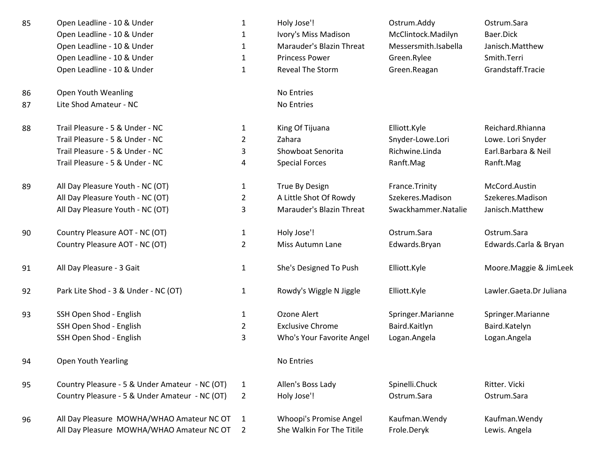| 85 | Open Leadline - 10 & Under                     | $\mathbf{1}$   | Holy Jose'!               | Ostrum.Addy          | Ostrum.Sara             |
|----|------------------------------------------------|----------------|---------------------------|----------------------|-------------------------|
|    | Open Leadline - 10 & Under                     | 1              | Ivory's Miss Madison      | McClintock.Madilyn   | Baer.Dick               |
|    | Open Leadline - 10 & Under                     | $\mathbf{1}$   | Marauder's Blazin Threat  | Messersmith.Isabella | Janisch.Matthew         |
|    | Open Leadline - 10 & Under                     | $\mathbf{1}$   | <b>Princess Power</b>     | Green.Rylee          | Smith.Terri             |
|    | Open Leadline - 10 & Under                     | $\mathbf{1}$   | Reveal The Storm          | Green.Reagan         | Grandstaff.Tracie       |
| 86 | Open Youth Weanling                            |                | No Entries                |                      |                         |
| 87 | Lite Shod Amateur - NC                         |                | No Entries                |                      |                         |
| 88 | Trail Pleasure - 5 & Under - NC                | 1              | King Of Tijuana           | Elliott.Kyle         | Reichard.Rhianna        |
|    | Trail Pleasure - 5 & Under - NC                | $\overline{2}$ | Zahara                    | Snyder-Lowe.Lori     | Lowe. Lori Snyder       |
|    | Trail Pleasure - 5 & Under - NC                | 3              | Showboat Senorita         | Richwine.Linda       | Earl.Barbara & Neil     |
|    | Trail Pleasure - 5 & Under - NC                | 4              | <b>Special Forces</b>     | Ranft.Mag            | Ranft.Mag               |
| 89 | All Day Pleasure Youth - NC (OT)               | $\mathbf{1}$   | True By Design            | France.Trinity       | McCord.Austin           |
|    | All Day Pleasure Youth - NC (OT)               | $\overline{2}$ | A Little Shot Of Rowdy    | Szekeres.Madison     | Szekeres.Madison        |
|    | All Day Pleasure Youth - NC (OT)               | 3              | Marauder's Blazin Threat  | Swackhammer.Natalie  | Janisch.Matthew         |
| 90 | Country Pleasure AOT - NC (OT)                 | $\mathbf{1}$   | Holy Jose'!               | Ostrum.Sara          | Ostrum.Sara             |
|    | Country Pleasure AOT - NC (OT)                 | $\overline{2}$ | Miss Autumn Lane          | Edwards.Bryan        | Edwards.Carla & Bryan   |
| 91 | All Day Pleasure - 3 Gait                      | $\mathbf{1}$   | She's Designed To Push    | Elliott.Kyle         | Moore. Maggie & JimLeek |
| 92 | Park Lite Shod - 3 & Under - NC (OT)           | $\mathbf{1}$   | Rowdy's Wiggle N Jiggle   | Elliott.Kyle         | Lawler.Gaeta.Dr Juliana |
| 93 | SSH Open Shod - English                        | 1              | Ozone Alert               | Springer.Marianne    | Springer.Marianne       |
|    | SSH Open Shod - English                        | $\overline{2}$ | <b>Exclusive Chrome</b>   | Baird.Kaitlyn        | Baird.Katelyn           |
|    | SSH Open Shod - English                        | 3              | Who's Your Favorite Angel | Logan.Angela         | Logan.Angela            |
| 94 | Open Youth Yearling                            |                | No Entries                |                      |                         |
| 95 | Country Pleasure - 5 & Under Amateur - NC (OT) | $\mathbf{1}$   | Allen's Boss Lady         | Spinelli.Chuck       | Ritter. Vicki           |
|    | Country Pleasure - 5 & Under Amateur - NC (OT) | $\overline{2}$ | Holy Jose'!               | Ostrum.Sara          | Ostrum.Sara             |
| 96 | All Day Pleasure MOWHA/WHAO Amateur NC OT      | 1              | Whoopi's Promise Angel    | Kaufman. Wendy       | Kaufman. Wendy          |
|    | All Day Pleasure MOWHA/WHAO Amateur NC OT      | $\overline{2}$ | She Walkin For The Titile | Frole.Deryk          | Lewis. Angela           |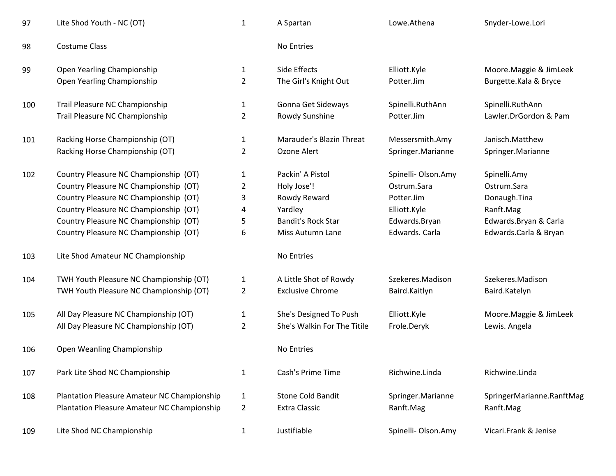| 97  | Lite Shod Youth - NC (OT)                          | $\mathbf 1$    | A Spartan                   | Lowe.Athena         | Snyder-Lowe.Lori          |
|-----|----------------------------------------------------|----------------|-----------------------------|---------------------|---------------------------|
| 98  | <b>Costume Class</b>                               |                | No Entries                  |                     |                           |
| 99  | Open Yearling Championship                         | $\mathbf{1}$   | Side Effects                | Elliott.Kyle        | Moore. Maggie & JimLeek   |
|     | Open Yearling Championship                         | 2              | The Girl's Knight Out       | Potter.Jim          | Burgette.Kala & Bryce     |
| 100 | Trail Pleasure NC Championship                     | 1              | Gonna Get Sideways          | Spinelli.RuthAnn    | Spinelli.RuthAnn          |
|     | Trail Pleasure NC Championship                     | $\overline{2}$ | Rowdy Sunshine              | Potter.Jim          | Lawler.DrGordon & Pam     |
| 101 | Racking Horse Championship (OT)                    | $\mathbf{1}$   | Marauder's Blazin Threat    | Messersmith.Amy     | Janisch.Matthew           |
|     | Racking Horse Championship (OT)                    | $\overline{2}$ | Ozone Alert                 | Springer.Marianne   | Springer.Marianne         |
| 102 | Country Pleasure NC Championship (OT)              | 1              | Packin' A Pistol            | Spinelli- Olson.Amy | Spinelli.Amy              |
|     | Country Pleasure NC Championship (OT)              | $\overline{2}$ | Holy Jose'!                 | Ostrum.Sara         | Ostrum.Sara               |
|     | Country Pleasure NC Championship (OT)              | 3              | Rowdy Reward                | Potter.Jim          | Donaugh.Tina              |
|     | Country Pleasure NC Championship (OT)              | 4              | Yardley                     | Elliott.Kyle        | Ranft.Mag                 |
|     | Country Pleasure NC Championship (OT)              | 5              | <b>Bandit's Rock Star</b>   | Edwards.Bryan       | Edwards.Bryan & Carla     |
|     | Country Pleasure NC Championship (OT)              | 6              | Miss Autumn Lane            | Edwards. Carla      | Edwards.Carla & Bryan     |
| 103 | Lite Shod Amateur NC Championship                  |                | No Entries                  |                     |                           |
| 104 | TWH Youth Pleasure NC Championship (OT)            | $\mathbf{1}$   | A Little Shot of Rowdy      | Szekeres.Madison    | Szekeres.Madison          |
|     | TWH Youth Pleasure NC Championship (OT)            | $\overline{2}$ | <b>Exclusive Chrome</b>     | Baird.Kaitlyn       | Baird.Katelyn             |
| 105 | All Day Pleasure NC Championship (OT)              | 1              | She's Designed To Push      | Elliott.Kyle        | Moore. Maggie & JimLeek   |
|     | All Day Pleasure NC Championship (OT)              | $\overline{2}$ | She's Walkin For The Titile | Frole.Deryk         | Lewis. Angela             |
| 106 | Open Weanling Championship                         |                | No Entries                  |                     |                           |
| 107 | Park Lite Shod NC Championship                     | $\mathbf{1}$   | Cash's Prime Time           | Richwine.Linda      | Richwine.Linda            |
| 108 | <b>Plantation Pleasure Amateur NC Championship</b> | 1              | <b>Stone Cold Bandit</b>    | Springer.Marianne   | SpringerMarianne.RanftMag |
|     | Plantation Pleasure Amateur NC Championship        | $\overline{2}$ | <b>Extra Classic</b>        | Ranft.Mag           | Ranft.Mag                 |
| 109 | Lite Shod NC Championship                          | $\mathbf{1}$   | Justifiable                 | Spinelli-Olson.Amy  | Vicari.Frank & Jenise     |